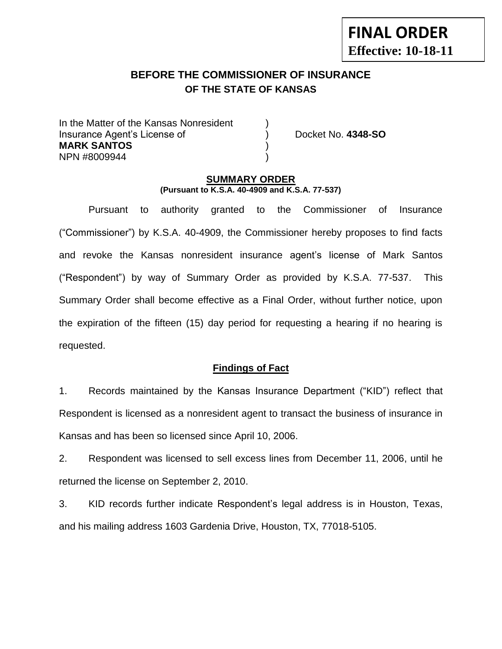# **BEFORE THE COMMISSIONER OF INSURANCE OF THE STATE OF KANSAS**

In the Matter of the Kansas Nonresident Insurance Agent's License of ) Docket No. **4348-SO MARK SANTOS** ) NPN #8009944 )

**FINAL ORDER**

**Effective: 10-18-11**

#### **SUMMARY ORDER (Pursuant to K.S.A. 40-4909 and K.S.A. 77-537)**

Pursuant to authority granted to the Commissioner of Insurance ("Commissioner") by K.S.A. 40-4909, the Commissioner hereby proposes to find facts and revoke the Kansas nonresident insurance agent's license of Mark Santos ("Respondent") by way of Summary Order as provided by K.S.A. 77-537. This Summary Order shall become effective as a Final Order, without further notice, upon the expiration of the fifteen (15) day period for requesting a hearing if no hearing is requested.

### **Findings of Fact**

1. Records maintained by the Kansas Insurance Department ("KID") reflect that Respondent is licensed as a nonresident agent to transact the business of insurance in Kansas and has been so licensed since April 10, 2006.

2. Respondent was licensed to sell excess lines from December 11, 2006, until he returned the license on September 2, 2010.

3. KID records further indicate Respondent's legal address is in Houston, Texas, and his mailing address 1603 Gardenia Drive, Houston, TX, 77018-5105.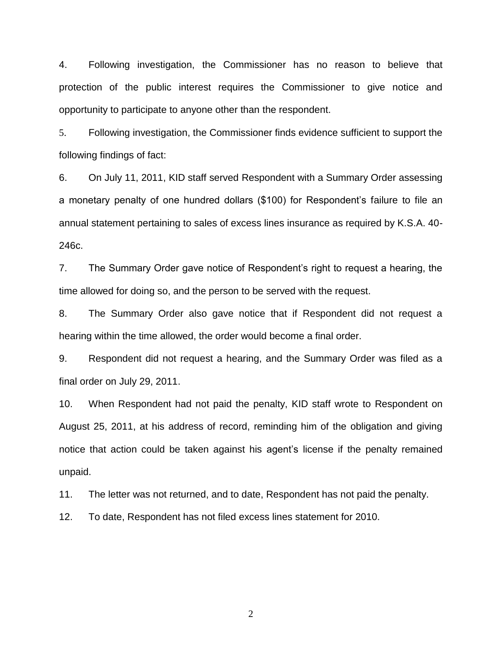4. Following investigation, the Commissioner has no reason to believe that protection of the public interest requires the Commissioner to give notice and opportunity to participate to anyone other than the respondent.

5. Following investigation, the Commissioner finds evidence sufficient to support the following findings of fact:

6. On July 11, 2011, KID staff served Respondent with a Summary Order assessing a monetary penalty of one hundred dollars (\$100) for Respondent's failure to file an annual statement pertaining to sales of excess lines insurance as required by K.S.A. 40- 246c.

7. The Summary Order gave notice of Respondent's right to request a hearing, the time allowed for doing so, and the person to be served with the request.

8. The Summary Order also gave notice that if Respondent did not request a hearing within the time allowed, the order would become a final order.

9. Respondent did not request a hearing, and the Summary Order was filed as a final order on July 29, 2011.

10. When Respondent had not paid the penalty, KID staff wrote to Respondent on August 25, 2011, at his address of record, reminding him of the obligation and giving notice that action could be taken against his agent's license if the penalty remained unpaid.

11. The letter was not returned, and to date, Respondent has not paid the penalty.

12. To date, Respondent has not filed excess lines statement for 2010.

2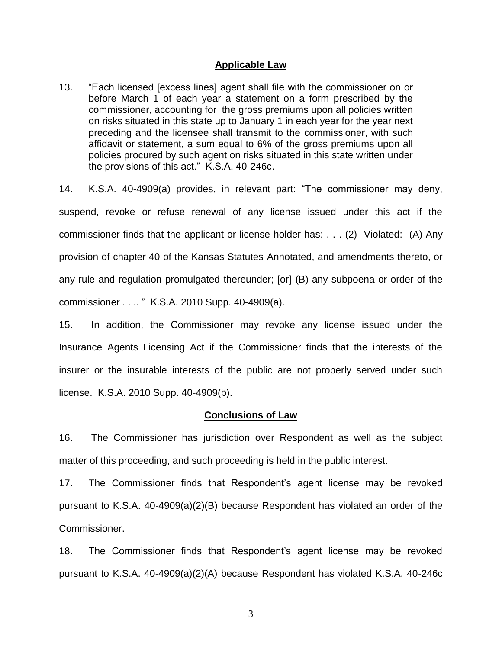#### **Applicable Law**

13. "Each licensed [excess lines] agent shall file with the commissioner on or before March 1 of each year a statement on a form prescribed by the commissioner, accounting for the gross premiums upon all policies written on risks situated in this state up to January 1 in each year for the year next preceding and the licensee shall transmit to the commissioner, with such affidavit or statement, a sum equal to 6% of the gross premiums upon all policies procured by such agent on risks situated in this state written under the provisions of this act." K.S.A. 40-246c.

14. K.S.A. 40-4909(a) provides, in relevant part: "The commissioner may deny, suspend, revoke or refuse renewal of any license issued under this act if the commissioner finds that the applicant or license holder has: . . . (2) Violated: (A) Any provision of chapter 40 of the Kansas Statutes Annotated, and amendments thereto, or any rule and regulation promulgated thereunder; [or] (B) any subpoena or order of the commissioner . . .. " K.S.A. 2010 Supp. 40-4909(a).

15. In addition, the Commissioner may revoke any license issued under the Insurance Agents Licensing Act if the Commissioner finds that the interests of the insurer or the insurable interests of the public are not properly served under such license. K.S.A. 2010 Supp. 40-4909(b).

#### **Conclusions of Law**

16. The Commissioner has jurisdiction over Respondent as well as the subject matter of this proceeding, and such proceeding is held in the public interest.

17. The Commissioner finds that Respondent's agent license may be revoked pursuant to K.S.A. 40-4909(a)(2)(B) because Respondent has violated an order of the Commissioner.

18. The Commissioner finds that Respondent's agent license may be revoked pursuant to K.S.A. 40-4909(a)(2)(A) because Respondent has violated K.S.A. 40-246c

3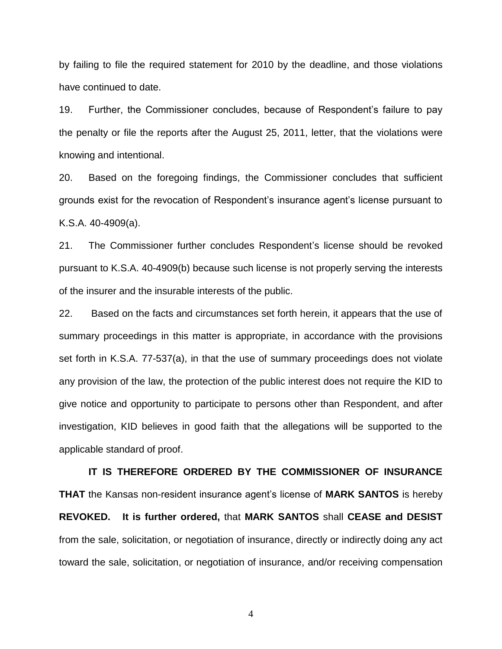by failing to file the required statement for 2010 by the deadline, and those violations have continued to date.

19. Further, the Commissioner concludes, because of Respondent's failure to pay the penalty or file the reports after the August 25, 2011, letter, that the violations were knowing and intentional.

20. Based on the foregoing findings, the Commissioner concludes that sufficient grounds exist for the revocation of Respondent's insurance agent's license pursuant to K.S.A. 40-4909(a).

21. The Commissioner further concludes Respondent's license should be revoked pursuant to K.S.A. 40-4909(b) because such license is not properly serving the interests of the insurer and the insurable interests of the public.

22. Based on the facts and circumstances set forth herein, it appears that the use of summary proceedings in this matter is appropriate, in accordance with the provisions set forth in K.S.A. 77-537(a), in that the use of summary proceedings does not violate any provision of the law, the protection of the public interest does not require the KID to give notice and opportunity to participate to persons other than Respondent, and after investigation, KID believes in good faith that the allegations will be supported to the applicable standard of proof.

**IT IS THEREFORE ORDERED BY THE COMMISSIONER OF INSURANCE THAT** the Kansas non-resident insurance agent's license of **MARK SANTOS** is hereby **REVOKED. It is further ordered,** that **MARK SANTOS** shall **CEASE and DESIST** from the sale, solicitation, or negotiation of insurance, directly or indirectly doing any act toward the sale, solicitation, or negotiation of insurance, and/or receiving compensation

4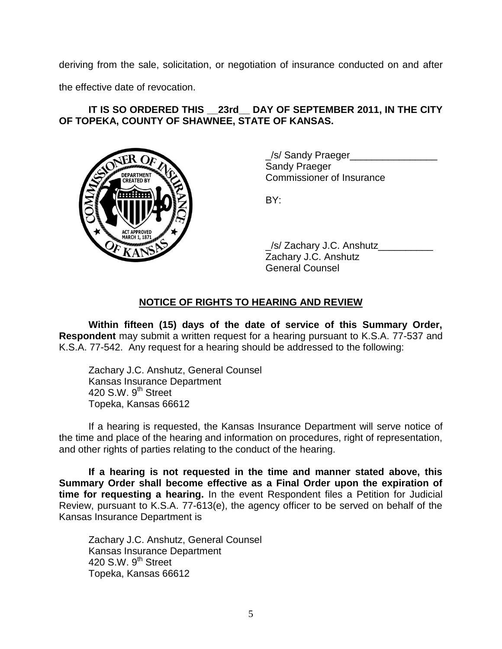deriving from the sale, solicitation, or negotiation of insurance conducted on and after

the effective date of revocation.

## **IT IS SO ORDERED THIS \_\_23rd\_\_ DAY OF SEPTEMBER 2011, IN THE CITY OF TOPEKA, COUNTY OF SHAWNEE, STATE OF KANSAS.**



/s/ Sandy Praeger Sandy Praeger Commissioner of Insurance

BY:

\_/s/ Zachary J.C. Anshutz\_\_\_\_\_\_\_\_\_\_ Zachary J.C. Anshutz General Counsel

# **NOTICE OF RIGHTS TO HEARING AND REVIEW**

**Within fifteen (15) days of the date of service of this Summary Order, Respondent** may submit a written request for a hearing pursuant to K.S.A. 77-537 and K.S.A. 77-542. Any request for a hearing should be addressed to the following:

Zachary J.C. Anshutz, General Counsel Kansas Insurance Department 420 S.W.  $9<sup>th</sup>$  Street Topeka, Kansas 66612

If a hearing is requested, the Kansas Insurance Department will serve notice of the time and place of the hearing and information on procedures, right of representation, and other rights of parties relating to the conduct of the hearing.

**If a hearing is not requested in the time and manner stated above, this Summary Order shall become effective as a Final Order upon the expiration of time for requesting a hearing.** In the event Respondent files a Petition for Judicial Review, pursuant to K.S.A. 77-613(e), the agency officer to be served on behalf of the Kansas Insurance Department is

Zachary J.C. Anshutz, General Counsel Kansas Insurance Department 420 S.W.  $9<sup>th</sup>$  Street Topeka, Kansas 66612